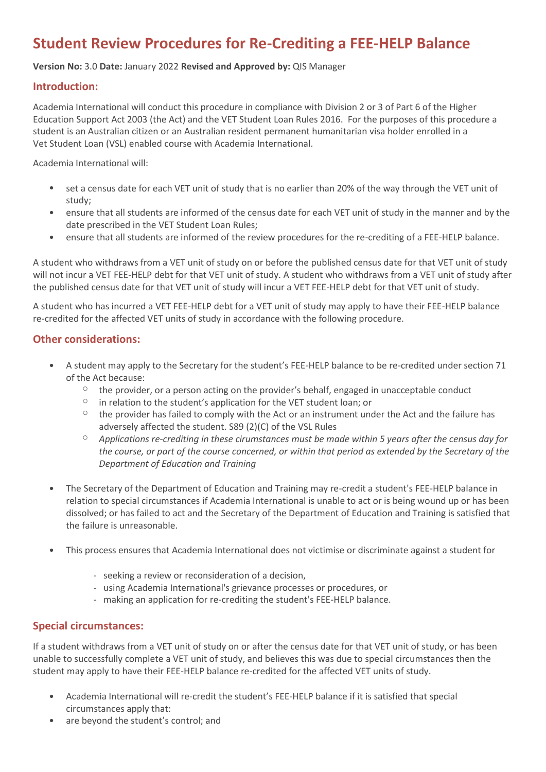# **Student Review Procedures for Re-Crediting a FEE-HELP Balance**

#### **Version No:** 3.0 **Date:** January 2022 **Revised and Approved by:** QIS Manager

# **Introduction:**

Academia International will conduct this procedure in compliance with Division 2 or 3 of Part 6 of the Higher Education Support Act 2003 (the Act) and the VET Student Loan Rules 2016. For the purposes of this procedure a student is an Australian citizen or an Australian resident permanent humanitarian visa holder enrolled in a Vet Student Loan (VSL) enabled course with Academia International.

Academia International will:

- set a census date for each VET unit of study that is no earlier than 20% of the way through the VET unit of study;
- ensure that all students are informed of the census date for each VET unit of study in the manner and by the date prescribed in the VET Student Loan Rules;
- ensure that all students are informed of the review procedures for the re-crediting of a FEE-HELP balance.

A student who withdraws from a VET unit of study on or before the published census date for that VET unit of study will not incur a VET FEE-HELP debt for that VET unit of study. A student who withdraws from a VET unit of study after the published census date for that VET unit of study will incur a VET FEE-HELP debt for that VET unit of study.

A student who has incurred a VET FEE-HELP debt for a VET unit of study may apply to have their FEE-HELP balance re-credited for the affected VET units of study in accordance with the following procedure.

# **Other considerations:**

- A student may apply to the Secretary for the student's FEE-HELP balance to be re-credited under section 71 of the Act because:
	- $\circ$  the provider, or a person acting on the provider's behalf, engaged in unacceptable conduct
	- $\degree$  in relation to the student's application for the VET student loan; or
	- $\degree$  the provider has failed to comply with the Act or an instrument under the Act and the failure has adversely affected the student. S89 (2)(C) of the VSL Rules
	- o *Applications re-crediting in these cirumstances must be made within 5 years after the census day for the course, or part of the course concerned, or within that period as extended by the Secretary of the Department of Education and Training*
- The Secretary of the Department of Education and Training may re-credit a student's FEE-HELP balance in relation to special circumstances if Academia International is unable to act or is being wound up or has been dissolved; or has failed to act and the Secretary of the Department of Education and Training is satisfied that the failure is unreasonable.
- This process ensures that Academia International does not victimise or discriminate against a student for
	- seeking a review or reconsideration of a decision,
	- using Academia International's grievance processes or procedures, or
	- making an application for re-crediting the student's FEE-HELP balance.

# **Special circumstances:**

If a student withdraws from a VET unit of study on or after the census date for that VET unit of study, or has been unable to successfully complete a VET unit of study, and believes this was due to special circumstances then the student may apply to have their FEE-HELP balance re-credited for the affected VET units of study.

- Academia International will re-credit the student's FEE-HELP balance if it is satisfied that special circumstances apply that:
- are beyond the student's control; and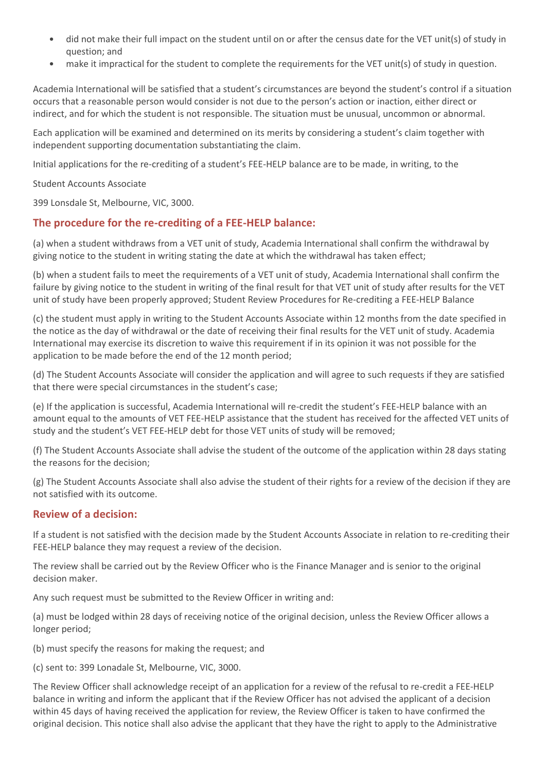- did not make their full impact on the student until on or after the census date for the VET unit(s) of study in question; and
- make it impractical for the student to complete the requirements for the VET unit(s) of study in question.

Academia International will be satisfied that a student's circumstances are beyond the student's control if a situation occurs that a reasonable person would consider is not due to the person's action or inaction, either direct or indirect, and for which the student is not responsible. The situation must be unusual, uncommon or abnormal.

Each application will be examined and determined on its merits by considering a student's claim together with independent supporting documentation substantiating the claim.

Initial applications for the re-crediting of a student's FEE-HELP balance are to be made, in writing, to the

#### Student Accounts Associate

399 Lonsdale St, Melbourne, VIC, 3000.

# **The procedure for the re-crediting of a FEE-HELP balance:**

(a) when a student withdraws from a VET unit of study, Academia International shall confirm the withdrawal by giving notice to the student in writing stating the date at which the withdrawal has taken effect;

(b) when a student fails to meet the requirements of a VET unit of study, Academia International shall confirm the failure by giving notice to the student in writing of the final result for that VET unit of study after results for the VET unit of study have been properly approved; Student Review Procedures for Re-crediting a FEE-HELP Balance

(c) the student must apply in writing to the Student Accounts Associate within 12 months from the date specified in the notice as the day of withdrawal or the date of receiving their final results for the VET unit of study. Academia International may exercise its discretion to waive this requirement if in its opinion it was not possible for the application to be made before the end of the 12 month period;

(d) The Student Accounts Associate will consider the application and will agree to such requests if they are satisfied that there were special circumstances in the student's case;

(e) If the application is successful, Academia International will re-credit the student's FEE-HELP balance with an amount equal to the amounts of VET FEE-HELP assistance that the student has received for the affected VET units of study and the student's VET FEE-HELP debt for those VET units of study will be removed;

(f) The Student Accounts Associate shall advise the student of the outcome of the application within 28 days stating the reasons for the decision;

(g) The Student Accounts Associate shall also advise the student of their rights for a review of the decision if they are not satisfied with its outcome.

## **Review of a decision:**

If a student is not satisfied with the decision made by the Student Accounts Associate in relation to re-crediting their FEE-HELP balance they may request a review of the decision.

The review shall be carried out by the Review Officer who is the Finance Manager and is senior to the original decision maker.

Any such request must be submitted to the Review Officer in writing and:

(a) must be lodged within 28 days of receiving notice of the original decision, unless the Review Officer allows a longer period;

(b) must specify the reasons for making the request; and

(c) sent to: 399 Lonadale St, Melbourne, VIC, 3000.

The Review Officer shall acknowledge receipt of an application for a review of the refusal to re-credit a FEE-HELP balance in writing and inform the applicant that if the Review Officer has not advised the applicant of a decision within 45 days of having received the application for review, the Review Officer is taken to have confirmed the original decision. This notice shall also advise the applicant that they have the right to apply to the Administrative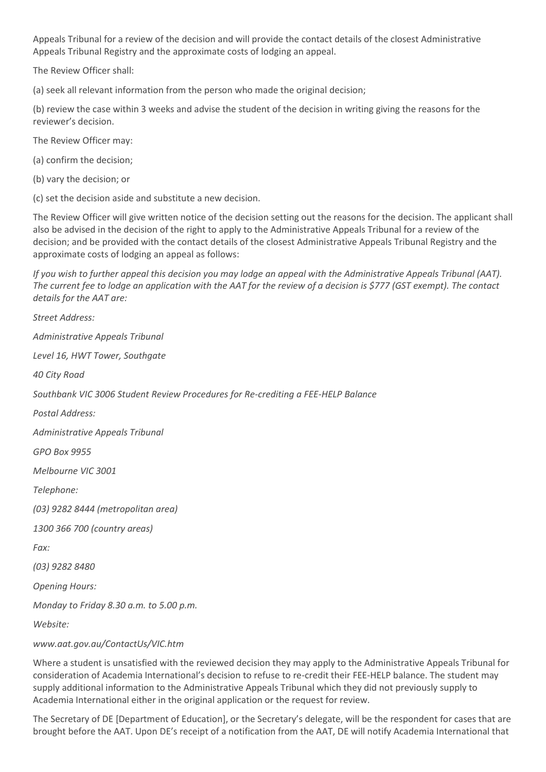Appeals Tribunal for a review of the decision and will provide the contact details of the closest Administrative Appeals Tribunal Registry and the approximate costs of lodging an appeal.

The Review Officer shall:

(a) seek all relevant information from the person who made the original decision;

(b) review the case within 3 weeks and advise the student of the decision in writing giving the reasons for the reviewer's decision.

The Review Officer may:

(a) confirm the decision;

(b) vary the decision; or

(c) set the decision aside and substitute a new decision.

The Review Officer will give written notice of the decision setting out the reasons for the decision. The applicant shall also be advised in the decision of the right to apply to the Administrative Appeals Tribunal for a review of the decision; and be provided with the contact details of the closest Administrative Appeals Tribunal Registry and the approximate costs of lodging an appeal as follows:

*If you wish to further appeal this decision you may lodge an appeal with the Administrative Appeals Tribunal (AAT). The current fee to lodge an application with the AAT for the review of a decision is \$777 (GST exempt). The contact details for the AAT are:*

*Street Address: Administrative Appeals Tribunal Level 16, HWT Tower, Southgate 40 City Road Southbank VIC 3006 Student Review Procedures for Re-crediting a FEE-HELP Balance Postal Address: Administrative Appeals Tribunal GPO Box 9955 Melbourne VIC 3001 Telephone: (03) 9282 8444 (metropolitan area) 1300 366 700 (country areas) Fax: (03) 9282 8480 Opening Hours: Monday to Friday 8.30 a.m. to 5.00 p.m. Website:*

#### *www.aat.gov.au/ContactUs/VIC.htm*

Where a student is unsatisfied with the reviewed decision they may apply to the Administrative Appeals Tribunal for consideration of Academia International's decision to refuse to re-credit their FEE-HELP balance. The student may supply additional information to the Administrative Appeals Tribunal which they did not previously supply to Academia International either in the original application or the request for review.

The Secretary of DE [Department of Education], or the Secretary's delegate, will be the respondent for cases that are brought before the AAT. Upon DE's receipt of a notification from the AAT, DE will notify Academia International that